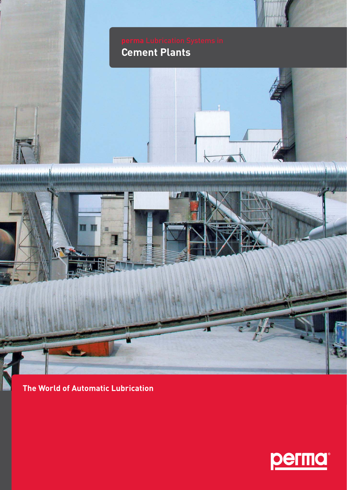

**The World of Automatic Lubrication**

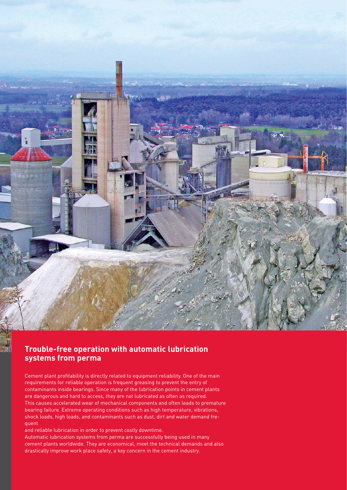

## **Trouble-free operation with automatic lubrication systems from perma**

Cement plant profitability is directly related to equipment reliability. One of the main requirements for reliable operation is frequent greasing to prevent the entry of contaminants inside bearings. Since many of the lubrication points in cement plants are dangerous and hard to access, they are not lubricated as often as required. This causes accelerated wear of mechanical components and often leads to premature bearing failure. Extreme operating conditions such as high temperature, vibrations, shock loads, high loads, and contaminants such as dust, dirt and water demand frequent

and reliable lubrication in order to prevent costly downtime. Automatic lubrication systems from perma are successfully being used in many cement plants worldwide. They are economical, meet the technical demands and also drastically improve work place safety, a key concern in the cement industry.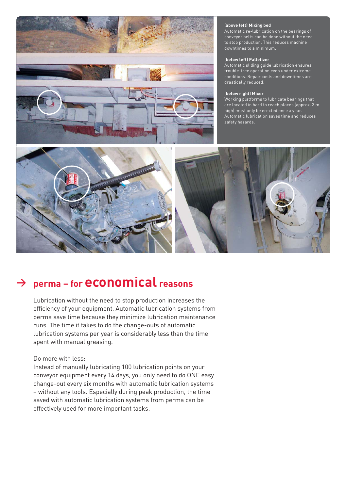

### **(above left) Mixing bed (above left) Mixing bed**

Automatic re-lubrication on the bearings of Automatic re-lubrication on the bearings of conveyor belts can be done without the need conveyor belts can be done without the need to stop production. This reduces machine to stop production. This reduces machinedowntimes to a minimum. downtimes to a minimum.

### **(below left) Palletizer (below left) Palletizer**

Automatic sliding guide lubrication ensures Automatic sliding guide lubrication ensures<br>trouble-free operation even under extreme conditions. Repair costs and downtimes are conditions. Repair costs and downtimes are drastically reduced. drastically reduced.

### **(below right) Mixer (below right) Mixer**

Working platforms to lubricate bearings that Working platforms to lubricate bearings that are located in hard to reach places (approx. 3 m are located in hard to reach places (approx. 3 m high) must only be erected once a year. high) must only be erected once a year.<br>Automatic lubrication saves time and reduces safety hazards. safety hazards.



# **<sup>&</sup>gt; perma – for economical reasons**

Lubrication without the need to stop production increases the efficiency of your equipment. Automatic lubrication systems from perma save time because they minimize lubrication maintenance runs. The time it takes to do the change-outs of automatic lubrication systems per year is considerably less than the time spent with manual greasing.

## Do more with less:

Instead of manually lubricating 100 lubrication points on your conveyor equipment every 14 days, you only need to do ONE easy change-out every six months with automatic lubrication systems – without any tools. Especially during peak production, the time saved with automatic lubrication systems from perma can be effectively used for more important tasks.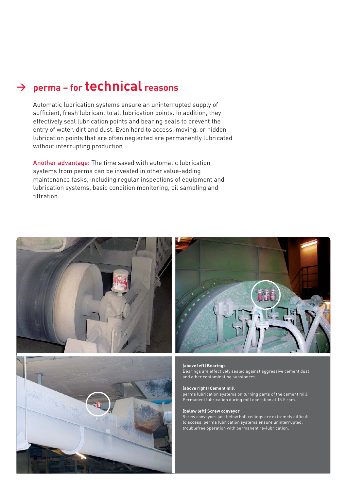Automatic lubrication systems ensure an uninterrupted supply of sufficient, fresh lubricant to all lubrication points. In addition, they effectively seal lubrication points and bearing seals to prevent the entry of water, dirt and dust. Even hard to access, moving, or hidden lubrication points that are often neglected are permanently lubricated without interrupting production.

Another advantage: The time saved with automatic lubrication systems from perma can be invested in other value-adding maintenance tasks, including regular inspections of equipment and lubrication systems, basic condition monitoring, oil sampling and filtration.







#### **(above left) Bearings (above**

Bearings are effectively sealed against aggressive cement dust Bearings are cement dust and other contaminating substances. and substances.

#### **(above right) Cement mill (above**

perma lubrication systems on turning parts of the cement mill. Permanent lubrication during mill operation at 15.5 rpm.

#### **(below left) Screw conveyor (below Screw conveyor**

Screw conveyors just below hall ceilings are extremely difficult to access. perma lubrication systems ensure uninterrupted, troublefree operation with permanent re-lubrication.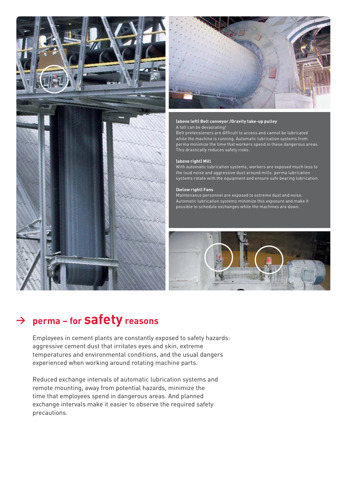



## **(above left) Belt conveyor /Gravity take-up pulley (above left) Belt conveyor /Gravity take-up pulley**

A fall can be devastating! Belt pretensioners are difficult to access and cannot be lubricated Belt pretensioners are difficult to access and cannot be lubricated<br>while the machine is running. Automatic lubrication systems from perma minimize the time that workers spend in these dangerous areas. perma minimize the time that workers spend in these dangerous areas. This drastically reduces safety risks. This drastically reduces safety risks.

### **(above right) Mill (above right) Mill**

With automatic lubrication systems, workers are exposed much less to the loud noise and aggressive dust around mills. perma lubrication systems rotate with the equipment and ensure safe bearing lubrication. With automatic lubrication systems, workers are exposed much less to<br>the loud noise and aggressive dust around mills. perma lubrication<br>systems rotate with the equipment and ensure safe bearing lubrication.

### **(below right) Fans (below right) Fans**

Maintenance personnel are exposed to extreme dust and noise. Maintenance personnel are exposed to extreme dust and noise. Automatic lubrication systems minimize this exposure and make it Automatic lubrication systems minimize this exposure and make it<br>possible to schedule exchanges while the machines are down.



# **<sup>&</sup>gt; perma – for safety reasons**

Employees in cement plants are constantly exposed to safety hazards: aggressive cement dust that irritates eyes and skin, extreme temperatures and environmental conditions, and the usual dangers experienced when working around rotating machine parts.

Reduced exchange intervals of automatic lubrication systems and remote mounting, away from potential hazards, minimize the time that employees spend in dangerous areas. And planned exchange intervals make it easier to observe the required safety precautions.